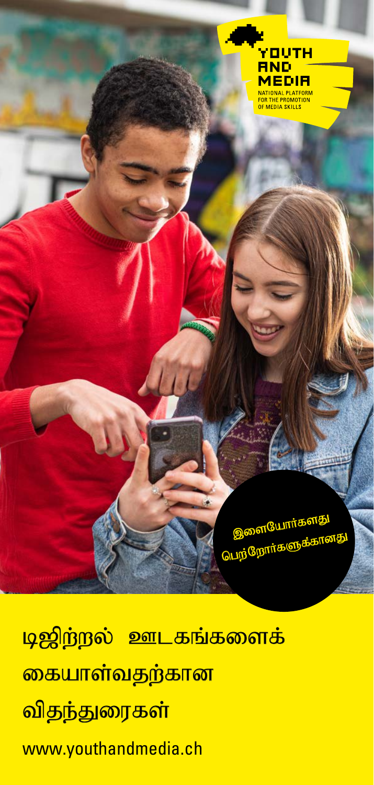

<mark>டிஜிற்றல் ஊடகங்களைக்</mark> <mark>கையாள்வதற்கான</mark> <mark>விதந்துரைகள்</mark> www.youthandmedia.ch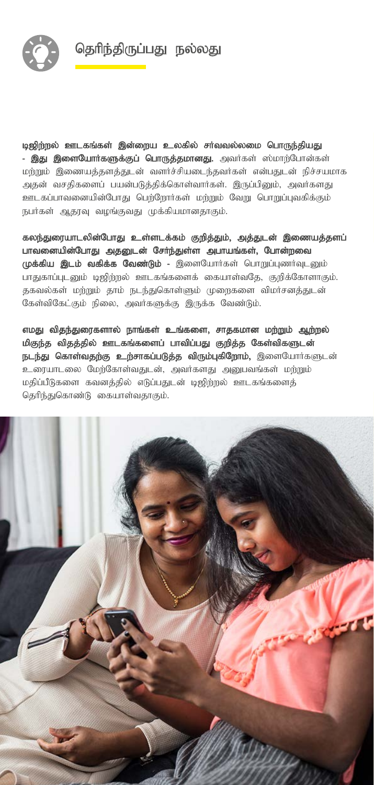தெரிந்திருப்பது நல்லது



டிஜிற்றல் ஊடகங்கள் இன்றைய உலகில் சர்வவல்லமை பொருந்தியது - இது இளையோர்களுக்குப் பொருத்தமானது. அவர்கள் ஸ்மாற்போன்கள் மற்றும் இணையத்தளத்துடன் வளர்ச்சியடைந்தவர்கள் என்பதுடன் நிச்சயமாக அதன் வசதிகளைப் பயன்படுத்திக்கொள்வார்கள். இருப்பினும், அவர்களது ஊடகப்பாவனையின்போது பெற்றோர்கள் மற்றும் வேறு பொறுப்புவகிக்கும் நபர்கள் ஆதரவு வழங்குவது முக்கியமானதாகும்.

கலந்துரையாடலின்போது உள்ளடக்கம் குறித்தும், அத்துடன் இணையத்தளப் பாவனையின்போது அதனுடன் சேர்ந்துள்ள அபாயங்கள், போன்றவை முக்கிய இடம் வகிக்க வேண்டும் - இளையோர்கள் பொறுப்புணர்வுடனும் பாதுகாப்புடனும் டிஜிற்றல் ஊடகங்களைக் கையாள்வதே, குறிக்கோளாகும். தகவல்கள் மற்றும் தாம் நடந்துகொள்ளும் முறைகளை விமர்சனத்துடன் கேள்விகேட்கும் நிலை, அவர்களுக்கு இருக்க வேண்டும்.

எமது விதந்துரைகளால் நாங்கள் உங்களை, சாதகமான மற்றும் ஆற்றல் மிகுந்த விதத்தில் ஊடகங்களைப் பாவிப்பது குறித்த கேள்விகளுடன் நடந்து கொள்வதற்கு உற்சாகப்படுத்த விரும்புகிறோம், இளையோர்களுடன் உரையாடலை மேற்கோள்வதுடன், அவர்களது அனுபவங்கள் மற்றும் மதிப்பீடுகளை கவனத்தில் எடுப்பதுடன் டிஜிற்றல் ஊடகங்களைத் கெரிந்துகொண்டு கையாள்வதாகும்.

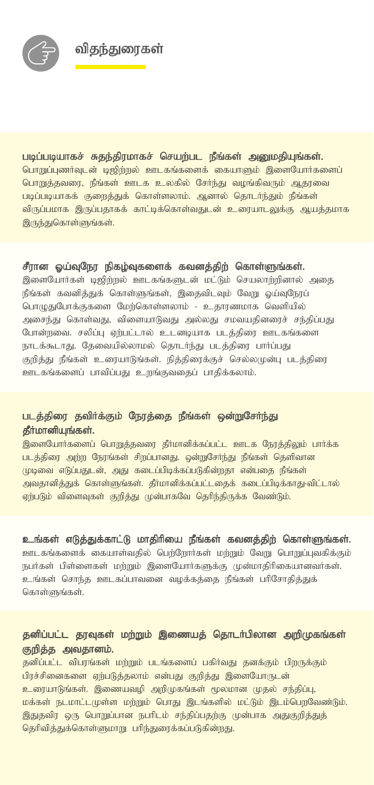

## படிப்படியாகச் சுதந்திரமாகச் செயற்பட நீங்கள் அனுமதியுங்கள்.

பொறுப்புணர்வுடன் டிஜிந்றல் ஊடகங்களைக் கையாளும் இளையோர்களைப் பொறுத்தவரை, நீங்கள் ஊடக உலகில் சேர்ந்து வழங்கிவரும் ஆதரவை படிப்படியாகக் குறைத்துக் கொள்ளலாம். ஆனால் தொடர்ந்தும் நீங்கள் விருப்பமாக இருப்பதாகக் காட்டிக்கொள்வதுடன் உரையாடலுக்கு ஆயத்தமாக <u>இருந்துகொள்ளுங்கள்.</u>

#### சீரான ஓய்வுநேர நிகழ்வுகளைக் கவனத்திற் கொள்ளுங்கள்.

.<br>இளையோர்கள் டிஜிந்நல் ஊடகங்களுடன் மட்டும் செயலாந்நினால் அகை நீங்கள் கவனித்துக் கொள்ளுங்கள், இதைவிடவும் வேறு ஓய்வுநேரப் பொழுதுபோக்குகளை மேற்கொள்ளலாம் - உதாரணமாக வெளியில் அசைந்து கொள்வது, விளையாடுவது அல்லது சமவயதினரைச் சந்திப்பது போன்றவை. சலிப்பு ஏற்பட்டால் உடனடியாக படத்திரை ஊடகங்களை நாடக்கூடாது. தேவையில்லாமல் தொடர்ந்து படத்திரை பார்ப்பது குறிக்கு நீங்கள் உரையாடுங்கள். நிக்கிரைக்குச் செல்லமுன்ப படக்கிரை ஊடகங்களைப் பாவிப்பது உறங்குவதைப் பாதிக்கலாம்.

# படத்திரை தவிர்க்கும் நேரத்தை நீங்கள் ஒன்றுசேர்ந்து தீர்மானியுங்கள்.

இளையோர்களைப் பொறுத்தவரை தீர்மானிக்கப்பட்ட ஊடக நேரத்திலும் பார்க்க படத்திரை அற்ற நேரங்கள் சிறப்பானது. ஒன்றுசேர்ந்து நீங்கள் தெளிவான முடிவை எடுப்பதுடன், அது கடைப்பிடிக்கப்படுகின்றதா என்பதை நீங்கள் அவதானித்துக் கொள்ளுங்கள். தீர்மானிக்கப்பட்டதைக் கடைப்பிடிக்காது-விட்டால் ஏற்படும் விளைவுகள் குறித்து முன்பாகவே தெரிந்திருக்க வேண்டும்.

#### உங்கள் எடுத்துக்காட்டு மாதிரியை நீங்கள் கவனத்திற் கொள்ளுங்கள்.

ஊடகங்களைக் கையாள்வதில் பெற்றோர்கள் மற்றும் வேறு பொறுப்புவகிக்கும் நபர்கள் பிள்ளைகள் மற்றும் இளையோர்களுக்கு முன்மாதிரிகையானவர்கள். உங்கள் சொந்த ஊடகப்பாவனை வழக்கத்தை நீங்கள் பரிசோதித்துக் கொள்ளுங்கள்.

## தனிப்பட்ட தரவுகள் மற்றும் இணையத் தொடர்பிலான அறிமுகங்கள் குறித்த அவதானம்.

.<br>தனிப்பட்ட விபரங்கள் மற்றும் படங்களைப் பகிர்வது தனக்கும் பிறருக்கும் பிரச்சினைகளை ஏற்படுத்தலாம் என்பது குறித்து இளையோருடன் உரையாடுங்கள். இணையவழி அறிமுகங்கள் மூலமான முதல் சந்திப்பு, மக்கள் நடமாட்டமுள்ள மற்றும் பொது இடங்களில் மட்டும் இடம்பெறவேண்டும். இதுதவிர ஒரு பொறுப்பான நபரிடம் சந்திப்பதற்கு முன்பாக அதுகுறித்துத் தெரிவித்துக்கொள்ளுமாறு பரிந்துரைக்கப்படுகின்றது.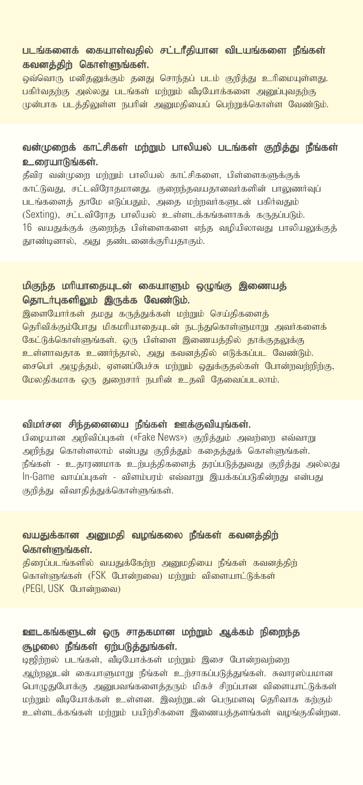#### படங்களைக் கையாள்வதில் சட்டரீதியான விடயங்களை நீங்கள் கவனத்திற் கொள்ளுங்கள்.

ஒவ்வொரு மனிதனுக்கும் தனது சொந்தப் படம் குறித்து உரிமையுள்ளது. பகிர்வகற்கு அல்லது படங்கள் மற்றும் வீடியோக்களை அமைப்பவகற்கு முன்பாக படத்திலுள்ள நபரின் அறுமதியைப் பெற்றுக்கொள்ள வேண்டும்.

## வன்முறைக் காட்சிகள் மற்றும் பாலியல் படங்கள் குறித்து நீங்கள் உரையாடுங்கள்.

தீவிர வன்முறை மற்றும் பாலியல் காட்சிகளை, பிள்ளைகளுக்குக் காட்டுவது, சட்டவிரோதமானது. குறைந்தவயதானவர்களின் பாலுணர்வுப் படங்களைத் தாமே எடுப்பதும், அதை மற்றவர்களுடன் பகிர்வதும்  $(S$ exting), சட்டவிரோத பாலியல் உள்ளடக்கங்களாகக் கருதப்படும்.  $16$  வயதுக்குக் குறைந்த பிள்ளைகளை எந்த வழியிலாவது பாலியலுக்குத் தூண்டினால், அது தண்டனைக்குரியதாகும்.

## மிகுந்த மாியாதையுடன் கையாளும் ஒழுங்கு இணையத் தொடர்புகளிலும் இருக்க வேண்டும்.

இளையோர்கள் தமது கருத்துக்கள் மற்றும் செய்திகளைத் தெரிவிக்கும்போது மிகமரியாதையுடன் நடந்துகொள்ளுமாறு அவர்களைக் கேட்டுக்கொள்ளுங்கள். ஒரு பிள்ளை இணையத்தில் தாக்குதலுக்கு உள்ளாவதாக உணர்ந்தால், அது கவனத்தில் எடுக்கப்பட வேண்டும். சைபெர் அழுத்தம், ஏளனப்பேச்சு மற்றும் ஒதுக்குதல்கள் <mark>போன்றவற்றிற்கு,</mark> மேலதிகமாக ஒரு துறைசார் நபரின் உதவி தேவைப்படலாம்.

#### விமர்சன சிந்தனையை நீங்கள் ஊக்குவியுங்கள்.

பிழையான அறிவிப்புகள் («Fake News») குறித்தும் அவற்றை எவ்வாறு அறிந்து கொள்ளலாம் என்பது குறித்தும் கதைத்துக் கொள்ளுங்கள். நீங்கள் - உதாரணமாக உற்பத்திகளைத் தரப்படுத்துவது குறித்து அல்லது In-Game வாய்ப்புகள் - விளம்பரம் எவ்வாறு இயக்கப்படுகின்றது என்பது குறித்து விவாதித்துக்கொள்ளுங்கள்.

### வயதுக்கான அனுமதி வழங்கலை நீங்கள் கவனத்திற் கொள்ளுங்கள்.

திரைப்படங்களில் வயதுக்கேற்ற அனுமதியை நீங்கள் கவனத்திற் கொள்ளுங்கள் (FSK போன்றவை) மற்றும் விளையாட்டுக்கள் (PEGI, USK போன்றவை)

# ஊடகங்களுடன் ஒரு சாதகமான மற்றும் ஆக்கம் நிறைந்த குழலை நீங்கள் ஏற்படுத்துங்கள்.

<u>டிஜி</u>ற்றல் படங்கள், வீடியோக்கள் மற்றும் இசை போன்றவற்றை ஆற்றலுடன் கையாளுமாறு நீங்கள் உற்சாகப்படுத்துங்கள். சுவாரஸ்யமான பொழுதுபோக்கு அனுபவங்களைத்தரும் மிகச் சிறப்பான விளையாட்டுக்கள் மற்றும் வீடியோக்கள் உள்ளன. இவற்றுடன் பெருமளவு தெரிவாக கற்கும் உள்ளடக்கங்கள் மற்றும் பயிற்சிகளை இணையத்தளங்கள் வழங்குகின்றன.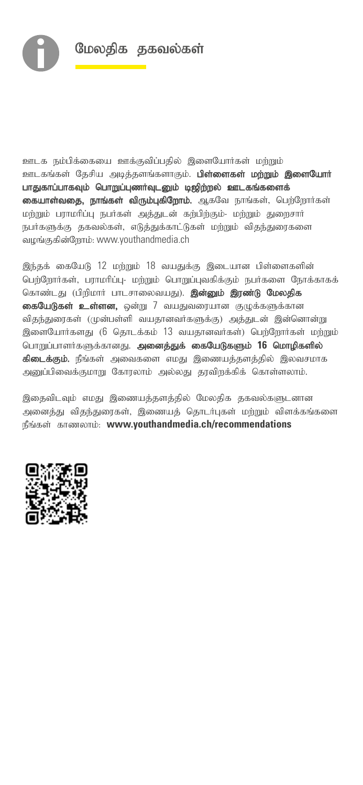

ஊடக நம்பிக்கையை ஊக்குவிப்பதில் இளையோர்கள் மற்றும் ஊடகங்கள் தேசிய அடித்தளங்களாகும். **பிள்ளைகள் மற்றும் இளையோர்** பாதுகாப்பாகவும் பொறுப்புணர்வுடனும் டிஜிற்றல் ஊடகங்களைக் கையாள்வதை, நாங்கள் விரும்புகிறோம். ஆகவே நாங்கள், பெற்றோர்கள் மற்றும் பராமரிப்பு நபர்கள் அத்துடன் கற்பிற்கும்- மற்றும் துறைசார் நபர்களுக்கு தகவல்கள், எடுத்துக்காட்டுகள் மற்றும் விதந்துரைகளை வழங்குகின்றோம்: www.youthandmedia.ch

இந்தக் கையேடு 12 மற்றும் 18 வயதுக்கு இடையான பிள்ளைகளின் பெற்றோர்கள், பராமரிப்பு- மற்றும் பொறுப்புவகிக்கும் நபர்களை நோக்காகக் கொண்டது (பிறிமார் பாடசாலைவயது). **இன்னும் இரண்டு மேலதிக** கையேடுகள் உள்ளன, ஒன்று 7 வயதுவரையான குழுக்களுக்கான விதந்துரைகள் (முன்பள்ளி வயதானவர்களுக்கு) அத்துடன் இன்னொன்று இளையோர்களது (6 தொடக்கம் 13 வயகானவர்கள்) பெற்றோர்கள் மற்றும் பொறுப்பாளர்களுக்கானது. அனைத்துக் கையேடுகளும் 16 மொழிகளில் **கிடைக்கும்.** நீங்கள் அவைகளை எமது இணையத்தளத்தில் இலவசமாக அனுப்பிவைக்குமாறு கோரலாம் அல்லது தரவிறக்கிக் கொள்ளலாம்.

இதைவிடவும் எமது இணையத்தளத்தில் மேலதிக தகவல்களுடனான அனைத்து விதந்துரைகள், இணையத் தொடர்புகள் மற்றும் விளக்கங்களை நீங்கள் காணலாம்: www.youthandmedia.ch/recommendations